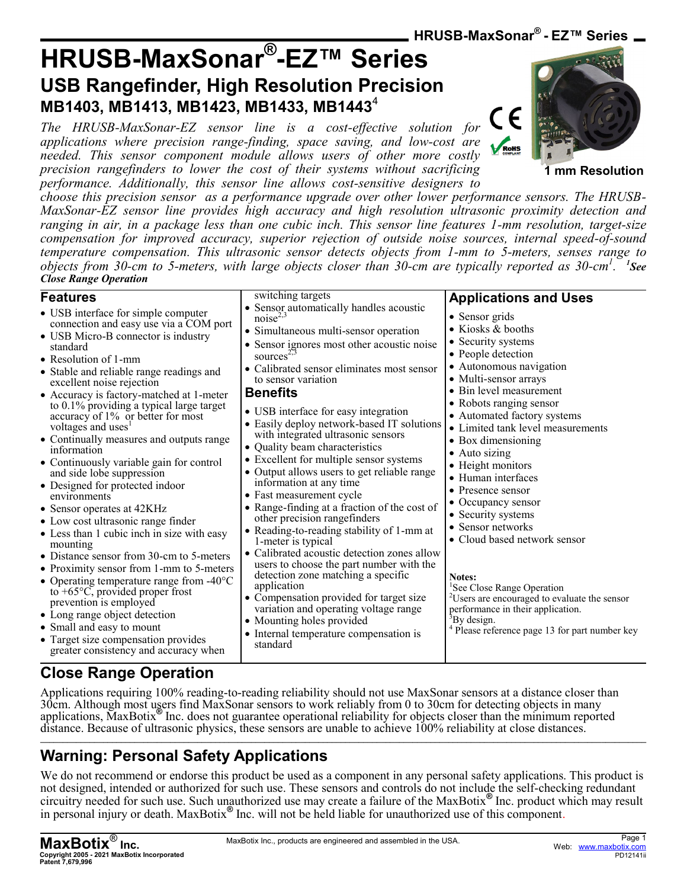**HRUSB-MaxSonar® - EZ™ Series**

**Applications and Uses**

• Sensor grids • Kiosks & booths • Security systems • People detection • Autonomous navigation • Multi-sensor arrays • Bin level measurement • Robots ranging sensor • Automated factory systems • Limited tank level measurements

• Box dimensioning • Auto sizing • Height monitors • Human interfaces • Presence sensor • Occupancy sensor • Security systems • Sensor networks

**Notes:**

<sup>3</sup>By design.

• Cloud based network sensor

<sup>2</sup>Users are encouraged to evaluate the sensor

<sup>4</sup> Please reference page 13 for part number key

<sup>1</sup>See Close Range Operation

performance in their application.

# **HRUSB-MaxSonar® -EZ™ Series USB Rangefinder, High Resolution Precision MB1403, MB1413, MB1423, MB1433, MB1443**<sup>4</sup>

*The HRUSB-MaxSonar-EZ sensor line is a cost-effective solution for applications where precision range-finding, space saving, and low-cost are needed. This sensor component module allows users of other more costly precision rangefinders to lower the cost of their systems without sacrificing performance. Additionally, this sensor line allows cost-sensitive designers to* 

switching targets

to sensor variation

 $noise<sup>2</sup>$ 

sources<sup>2</sup>

**Benefits**



**1 mm Resolution**

*choose this precision sensor as a performance upgrade over other lower performance sensors. The HRUSB-MaxSonar-EZ sensor line provides high accuracy and high resolution ultrasonic proximity detection and ranging in air, in a package less than one cubic inch. This sensor line features 1-mm resolution, target-size compensation for improved accuracy, superior rejection of outside noise sources, internal speed-of-sound temperature compensation. This ultrasonic sensor detects objects from 1-mm to 5-meters, senses range to objects from 30-cm to 5-meters, with large objects closer than 30-cm are typically reported as 30-cm<sup>1</sup> . 1 See Close Range Operation*

Sensor automatically handles acoustic

• Calibrated sensor eliminates most sensor

• Simultaneous multi-sensor operation • Sensor ignores most other acoustic noise

• USB interface for easy integration • Easily deploy network-based IT solutions with integrated ultrasonic sensors • Quality beam characteristics

• Excellent for multiple sensor systems • Output allows users to get reliable range

• Range-finding at a fraction of the cost of

• Reading-to-reading stability of 1-mm at

• Calibrated acoustic detection zones allow users to choose the part number with the detection zone matching a specific

• Compensation provided for target size variation and operating voltage range

• Internal temperature compensation is

information at any time • Fast measurement cycle

1-meter is typical

• Mounting holes provided

application

standard

other precision rangefinders

#### **Features**

- USB interface for simple computer connection and easy use via a COM port
- USB Micro-B connector is industry standard
- Resolution of 1-mm
- Stable and reliable range readings and excellent noise rejection
- Accuracy is factory-matched at 1-meter to 0.1% providing a typical large target accuracy of 1% or better for most voltages and uses<sup>1</sup>
- Continually measures and outputs range information
- Continuously variable gain for control and side lobe suppression
- Designed for protected indoor environments
- Sensor operates at 42KHz
- Low cost ultrasonic range finder
- Less than 1 cubic inch in size with easy mounting
- Distance sensor from 30-cm to 5-meters
- Proximity sensor from 1-mm to 5-meters • Operating temperature range from -40°C
- to +65°C, provided proper frost prevention is employed
- Long range object detection
- Small and easy to mount
- Target size compensation provides greater consistency and accuracy when

# **Close Range Operation**

Applications requiring 100% reading-to-reading reliability should not use MaxSonar sensors at a distance closer than 30cm. Although most users find MaxSonar sensors to work reliably from 0 to 30cm for detecting objects in many applications, MaxBotix**®** Inc. does not guarantee operational reliability for objects closer than the minimum reported distance. Because of ultrasonic physics, these sensors are unable to achieve 100% reliability at close distances. **\_\_\_\_\_\_\_\_\_\_\_\_\_\_\_\_\_\_\_\_\_\_\_\_\_\_\_\_\_\_\_\_\_\_\_\_\_\_\_\_\_\_\_\_\_\_\_\_\_\_\_\_\_\_\_\_\_\_\_\_\_\_\_\_\_\_\_\_\_\_\_\_\_\_\_\_\_\_\_\_\_\_\_\_\_\_\_\_\_\_\_\_\_\_\_\_\_\_\_\_\_\_\_\_\_\_\_\_\_\_\_\_\_\_\_\_\_\_\_\_\_\_\_\_\_\_\_\_\_\_\_\_\_\_\_**

# **Warning: Personal Safety Applications**

We do not recommend or endorse this product be used as a component in any personal safety applications. This product is not designed, intended or authorized for such use. These sensors and controls do not include the self-checking redundant circuitry needed for such use. Such unauthorized use may create a failure of the MaxBotix**®** Inc. product which may result in personal injury or death. MaxBotix**®** Inc. will not be held liable for unauthorized use of this component.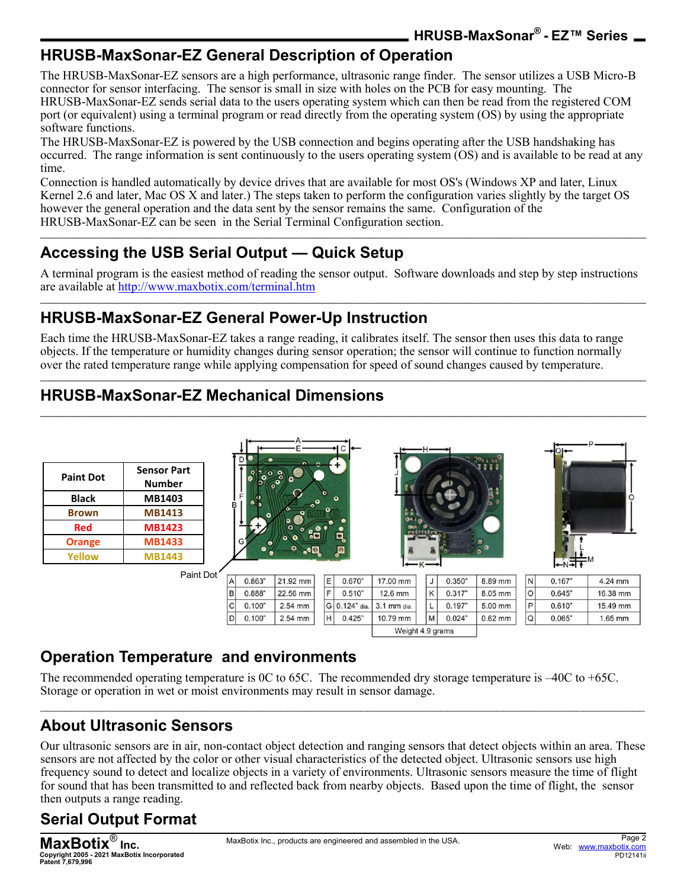## **HRUSB-MaxSonar-EZ General Description of Operation**

The HRUSB-MaxSonar-EZ sensors are a high performance, ultrasonic range finder. The sensor utilizes a USB Micro-B connector for sensor interfacing. The sensor is small in size with holes on the PCB for easy mounting. The HRUSB-MaxSonar-EZ sends serial data to the users operating system which can then be read from the registered COM port (or equivalent) using a terminal program or read directly from the operating system (OS) by using the appropriate software functions.

The HRUSB-MaxSonar-EZ is powered by the USB connection and begins operating after the USB handshaking has occurred. The range information is sent continuously to the users operating system (OS) and is available to be read at any time.

Connection is handled automatically by device drives that are available for most OS's (Windows XP and later, Linux Kernel 2.6 and later, Mac OS X and later.) The steps taken to perform the configuration varies slightly by the target OS however the general operation and the data sent by the sensor remains the same. Configuration of the HRUSB-MaxSonar-EZ can be seen in the Serial Terminal Configuration section.

## **Accessing the USB Serial Output — Quick Setup**

A terminal program is the easiest method of reading the sensor output. Software downloads and step by step instructions are available at<http://www.maxbotix.com/terminal.htm> **\_\_\_\_\_\_\_\_\_\_\_\_\_\_\_\_\_\_\_\_\_\_\_\_\_\_\_\_\_\_\_\_\_\_\_\_\_\_\_\_\_\_\_\_\_\_\_\_\_\_\_\_\_\_\_\_\_\_\_\_\_\_\_\_\_\_\_\_\_\_\_\_\_\_\_\_\_\_\_\_\_\_\_\_\_\_\_\_\_\_\_\_\_\_\_\_\_\_\_\_\_\_\_\_\_\_\_\_\_\_\_\_\_\_\_\_\_\_\_\_\_\_\_\_\_\_\_\_\_\_\_\_\_\_\_**

**\_\_\_\_\_\_\_\_\_\_\_\_\_\_\_\_\_\_\_\_\_\_\_\_\_\_\_\_\_\_\_\_\_\_\_\_\_\_\_\_\_\_\_\_\_\_\_\_\_\_\_\_\_\_\_\_\_\_\_\_\_\_\_\_\_\_\_\_\_\_\_\_\_\_\_\_\_\_\_\_\_\_\_\_\_\_\_\_\_\_\_\_\_\_\_\_\_\_\_\_\_\_\_\_\_\_\_\_\_\_\_\_\_\_\_\_\_\_\_\_\_\_\_\_\_\_\_\_\_\_\_\_\_\_\_**

### **HRUSB-MaxSonar-EZ General Power-Up Instruction**

Each time the HRUSB-MaxSonar-EZ takes a range reading, it calibrates itself. The sensor then uses this data to range objects. If the temperature or humidity changes during sensor operation; the sensor will continue to function normally over the rated temperature range while applying compensation for speed of sound changes caused by temperature.

**\_\_\_\_\_\_\_\_\_\_\_\_\_\_\_\_\_\_\_\_\_\_\_\_\_\_\_\_\_\_\_\_\_\_\_\_\_\_\_\_\_\_\_\_\_\_\_\_\_\_\_\_\_\_\_\_\_\_\_\_\_\_\_\_\_\_\_\_\_\_\_\_\_\_\_\_\_\_\_\_\_\_\_\_\_\_\_\_\_\_\_\_\_\_\_\_\_\_\_\_\_\_\_\_\_\_\_\_\_\_\_\_\_\_\_\_\_\_\_\_\_\_\_\_\_\_\_\_\_\_\_\_\_\_\_**

**\_\_\_\_\_\_\_\_\_\_\_\_\_\_\_\_\_\_\_\_\_\_\_\_\_\_\_\_\_\_\_\_\_\_\_\_\_\_\_\_\_\_\_\_\_\_\_\_\_\_\_\_\_\_\_\_\_\_\_\_\_\_\_\_\_\_\_\_\_\_\_\_\_\_\_\_\_\_\_\_\_\_\_\_\_\_\_\_\_\_\_\_\_\_\_\_\_\_\_\_\_\_\_\_\_\_\_\_\_\_\_\_\_\_\_\_\_\_\_\_\_\_\_\_\_\_\_\_\_\_\_\_\_\_\_**

# **HRUSB-MaxSonar-EZ Mechanical Dimensions**

| <b>Paint Dot</b> | <b>Sensor Part</b><br><b>Number</b> |                           | D      | $\circ$                       |   | ⊢                       |                                        | -H- |        |           |          |        | D.        |
|------------------|-------------------------------------|---------------------------|--------|-------------------------------|---|-------------------------|----------------------------------------|-----|--------|-----------|----------|--------|-----------|
| <b>Black</b>     | MB1403                              | B                         |        |                               |   | $\bullet$               |                                        |     |        |           |          |        |           |
| Brown            | <b>MB1413</b>                       |                           |        |                               |   |                         | வெ                                     |     |        |           |          |        |           |
| Red              | <b>MB1423</b>                       |                           |        | ို့မိ                         |   |                         |                                        |     |        |           |          |        |           |
| <b>Orange</b>    | <b>MB1433</b>                       |                           |        |                               |   | $\overline{\mathbf{e}}$ |                                        |     |        |           |          |        |           |
| Yellow           | <b>MB1443</b>                       |                           |        | $\bullet$ $\bullet$ $\bullet$ |   | o                       |                                        |     |        |           |          | $+N+1$ |           |
|                  | Paint Dot'                          |                           |        |                               |   |                         | $\leftarrow$ $\leftarrow$ $\leftarrow$ |     |        |           |          |        |           |
|                  |                                     | $\mathsf{A}^{\mathsf{I}}$ | 0.863" | 21.92 mm                      | E | 0.670"                  | 17.00 mm                               | J   | 0.350" | 8.89 mm   | N        | 0.167" | 4.24 mm   |
|                  |                                     | B                         | 0.888" | 22.56 mm                      | F | 0.510"                  | 12.6 mm                                | K   | 0.317" | 8.05 mm   | lo       | 0.645" | 16.38 mm  |
|                  |                                     | C                         | 0.100" | 2.54 mm                       |   | G 0.124" dia.           | 3.1 mm dia.                            | L   | 0.197" | 5.00 mm   | P        | 0.610" | 15.49 mm  |
|                  |                                     | IDI                       | 0.100" | 2.54 mm                       | н | 0.425"                  | 10.79 mm                               | M   | 0.024" | $0.62$ mm | $\Omega$ | 0.065" | $1.65$ mm |

**Operation Temperature and environments**

The recommended operating temperature is 0C to 65C. The recommended dry storage temperature is –40C to +65C. Storage or operation in wet or moist environments may result in sensor damage.

## **About Ultrasonic Sensors**

Our ultrasonic sensors are in air, non-contact object detection and ranging sensors that detect objects within an area. These sensors are not affected by the color or other visual characteristics of the detected object. Ultrasonic sensors use high frequency sound to detect and localize objects in a variety of environments. Ultrasonic sensors measure the time of flight for sound that has been transmitted to and reflected back from nearby objects. Based upon the time of flight, the sensor then outputs a range reading.

 $\mathcal{L}_\mathcal{L} = \mathcal{L}_\mathcal{L} = \mathcal{L}_\mathcal{L} = \mathcal{L}_\mathcal{L} = \mathcal{L}_\mathcal{L} = \mathcal{L}_\mathcal{L} = \mathcal{L}_\mathcal{L} = \mathcal{L}_\mathcal{L} = \mathcal{L}_\mathcal{L} = \mathcal{L}_\mathcal{L} = \mathcal{L}_\mathcal{L} = \mathcal{L}_\mathcal{L} = \mathcal{L}_\mathcal{L} = \mathcal{L}_\mathcal{L} = \mathcal{L}_\mathcal{L} = \mathcal{L}_\mathcal{L} = \mathcal{L}_\mathcal{L}$ 

Weight 4.9 grams

# **Serial Output Format**

**MaxBotix**® **Inc. Copyright 2005 - 2021 MaxBotix Incorporated Patent 7,679,996**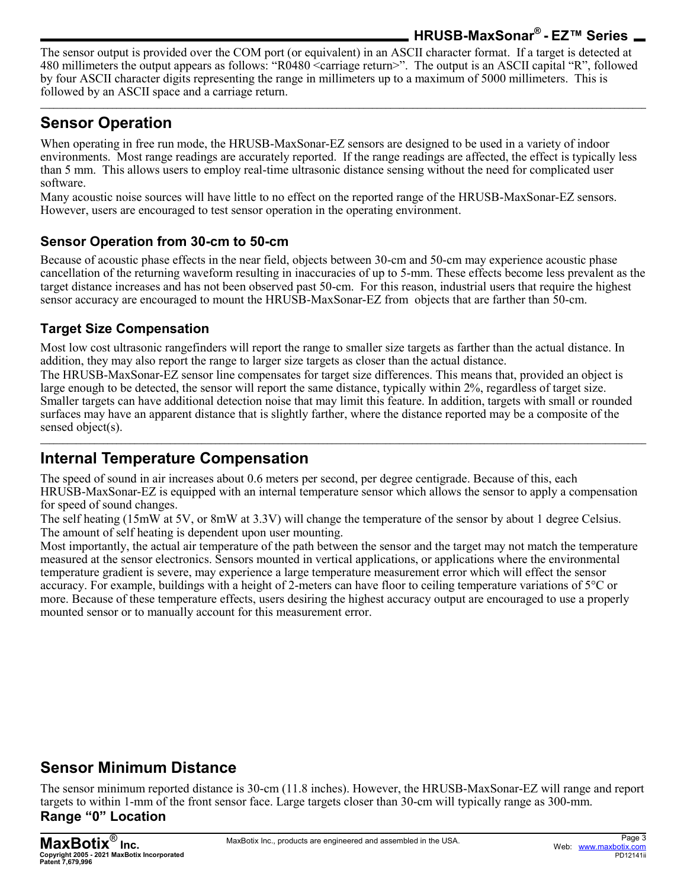### **HRUSB-MaxSonar® - EZ™ Series**

The sensor output is provided over the COM port (or equivalent) in an ASCII character format. If a target is detected at 480 millimeters the output appears as follows: "R0480 <carriage return>". The output is an ASCII capital "R", followed by four ASCII character digits representing the range in millimeters up to a maximum of 5000 millimeters. This is followed by an ASCII space and a carriage return.

**\_\_\_\_\_\_\_\_\_\_\_\_\_\_\_\_\_\_\_\_\_\_\_\_\_\_\_\_\_\_\_\_\_\_\_\_\_\_\_\_\_\_\_\_\_\_\_\_\_\_\_\_\_\_\_\_\_\_\_\_\_\_\_\_\_\_\_\_\_\_\_\_\_\_\_\_\_\_\_\_\_\_\_\_\_\_\_\_\_\_\_\_\_\_\_\_\_\_\_\_\_\_\_\_\_\_\_\_\_\_\_\_\_\_\_\_\_\_\_\_\_\_\_\_\_\_\_\_\_\_\_\_\_\_\_**

# **Sensor Operation**

When operating in free run mode, the HRUSB-MaxSonar-EZ sensors are designed to be used in a variety of indoor environments. Most range readings are accurately reported. If the range readings are affected, the effect is typically less than 5 mm. This allows users to employ real-time ultrasonic distance sensing without the need for complicated user software.

Many acoustic noise sources will have little to no effect on the reported range of the HRUSB-MaxSonar-EZ sensors. However, users are encouraged to test sensor operation in the operating environment.

#### **Sensor Operation from 30-cm to 50-cm**

Because of acoustic phase effects in the near field, objects between 30-cm and 50-cm may experience acoustic phase cancellation of the returning waveform resulting in inaccuracies of up to 5-mm. These effects become less prevalent as the target distance increases and has not been observed past 50-cm. For this reason, industrial users that require the highest sensor accuracy are encouraged to mount the HRUSB-MaxSonar-EZ from objects that are farther than 50-cm.

#### **Target Size Compensation**

Most low cost ultrasonic rangefinders will report the range to smaller size targets as farther than the actual distance. In addition, they may also report the range to larger size targets as closer than the actual distance.

The HRUSB-MaxSonar-EZ sensor line compensates for target size differences. This means that, provided an object is large enough to be detected, the sensor will report the same distance, typically within 2%, regardless of target size. Smaller targets can have additional detection noise that may limit this feature. In addition, targets with small or rounded surfaces may have an apparent distance that is slightly farther, where the distance reported may be a composite of the sensed object(s).

## **Internal Temperature Compensation**

The speed of sound in air increases about 0.6 meters per second, per degree centigrade. Because of this, each HRUSB-MaxSonar-EZ is equipped with an internal temperature sensor which allows the sensor to apply a compensation for speed of sound changes.

**\_\_\_\_\_\_\_\_\_\_\_\_\_\_\_\_\_\_\_\_\_\_\_\_\_\_\_\_\_\_\_\_\_\_\_\_\_\_\_\_\_\_\_\_\_\_\_\_\_\_\_\_\_\_\_\_\_\_\_\_\_\_\_\_\_\_\_\_\_\_\_\_\_\_\_\_\_\_\_\_\_\_\_\_\_\_\_\_\_\_\_\_\_\_\_\_\_\_\_\_\_\_\_\_\_\_\_\_\_\_\_\_\_\_\_\_\_\_\_\_\_\_\_\_\_\_\_\_\_\_\_\_\_\_\_**

The self heating (15mW at 5V, or 8mW at 3.3V) will change the temperature of the sensor by about 1 degree Celsius. The amount of self heating is dependent upon user mounting.

Most importantly, the actual air temperature of the path between the sensor and the target may not match the temperature measured at the sensor electronics. Sensors mounted in vertical applications, or applications where the environmental temperature gradient is severe, may experience a large temperature measurement error which will effect the sensor accuracy. For example, buildings with a height of 2-meters can have floor to ceiling temperature variations of 5°C or more. Because of these temperature effects, users desiring the highest accuracy output are encouraged to use a properly mounted sensor or to manually account for this measurement error.

## **Sensor Minimum Distance**

The sensor minimum reported distance is 30-cm (11.8 inches). However, the HRUSB-MaxSonar-EZ will range and report targets to within 1-mm of the front sensor face. Large targets closer than 30-cm will typically range as 300-mm.

## **Range "0" Location**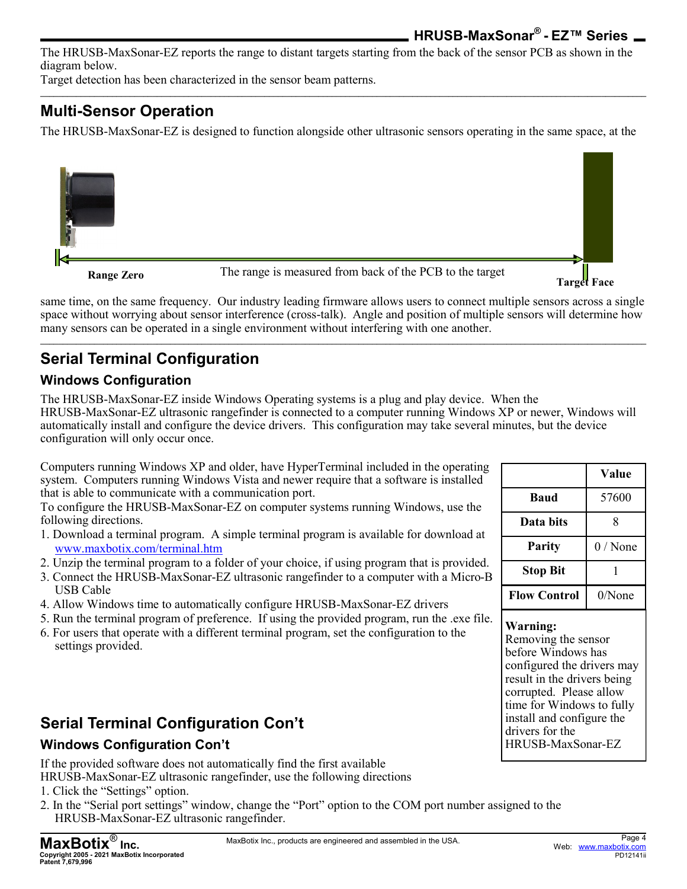The HRUSB-MaxSonar-EZ reports the range to distant targets starting from the back of the sensor PCB as shown in the diagram below.

Target detection has been characterized in the sensor beam patterns.

# **Multi-Sensor Operation**

The HRUSB-MaxSonar-EZ is designed to function alongside other ultrasonic sensors operating in the same space, at the

**\_\_\_\_\_\_\_\_\_\_\_\_\_\_\_\_\_\_\_\_\_\_\_\_\_\_\_\_\_\_\_\_\_\_\_\_\_\_\_\_\_\_\_\_\_\_\_\_\_\_\_\_\_\_\_\_\_\_\_\_\_\_\_\_\_\_\_\_\_\_\_\_\_\_\_\_\_\_\_\_\_\_\_\_\_\_\_\_\_\_\_\_\_\_\_\_\_\_\_\_\_\_\_\_\_\_\_\_\_\_\_\_\_\_\_\_\_\_\_\_\_\_\_\_\_\_\_\_\_\_\_\_\_\_\_**



**Range Zero** The range is measured from back of the PCB to the target

**Target Face**

same time, on the same frequency. Our industry leading firmware allows users to connect multiple sensors across a single space without worrying about sensor interference (cross-talk). Angle and position of multiple sensors will determine how many sensors can be operated in a single environment without interfering with one another.

**\_\_\_\_\_\_\_\_\_\_\_\_\_\_\_\_\_\_\_\_\_\_\_\_\_\_\_\_\_\_\_\_\_\_\_\_\_\_\_\_\_\_\_\_\_\_\_\_\_\_\_\_\_\_\_\_\_\_\_\_\_\_\_\_\_\_\_\_\_\_\_\_\_\_\_\_\_\_\_\_\_\_\_\_\_\_\_\_\_\_\_\_\_\_\_\_\_\_\_\_\_\_\_\_\_\_\_\_\_\_\_\_\_\_\_\_\_\_\_\_\_\_\_\_\_\_\_\_\_\_\_\_\_\_\_**

# **Serial Terminal Configuration**

#### **Windows Configuration**

The HRUSB-MaxSonar-EZ inside Windows Operating systems is a plug and play device. When the HRUSB-MaxSonar-EZ ultrasonic rangefinder is connected to a computer running Windows XP or newer, Windows will automatically install and configure the device drivers. This configuration may take several minutes, but the device configuration will only occur once.

Computers running Windows XP and older, have HyperTerminal included in the operating system. Computers running Windows Vista and newer require that a software is installed that is able to communicate with a communication port.

To configure the HRUSB-MaxSonar-EZ on computer systems running Windows, use the following directions.

- 1. Download a terminal program. A simple terminal program is available for download at [www.maxbotix.com/terminal.htm](http://www.maxbotix.com/terminal.htm)
- 2. Unzip the terminal program to a folder of your choice, if using program that is provided.
- 3. Connect the HRUSB-MaxSonar-EZ ultrasonic rangefinder to a computer with a Micro-B USB Cable
- 4. Allow Windows time to automatically configure HRUSB-MaxSonar-EZ drivers
- 5. Run the terminal program of preference. If using the provided program, run the .exe file.
- 6. For users that operate with a different terminal program, set the configuration to the settings provided.

# **Serial Terminal Configuration Con't**

#### **Windows Configuration Con't**

If the provided software does not automatically find the first available

- HRUSB-MaxSonar-EZ ultrasonic rangefinder, use the following directions
- 1. Click the "Settings" option.
- 2. In the "Serial port settings" window, change the "Port" option to the COM port number assigned to the HRUSB-MaxSonar-EZ ultrasonic rangefinder.

|                     | Value     |
|---------------------|-----------|
| Baud                | 57600     |
| Data bits           | 8         |
| <b>Parity</b>       | 0 / None  |
| <b>Stop Bit</b>     |           |
| <b>Flow Control</b> | $0/N$ one |

#### **Warning:**

Removing the sensor before Windows has configured the drivers may result in the drivers being corrupted. Please allow time for Windows to fully install and configure the drivers for the HRUSB-MaxSonar-EZ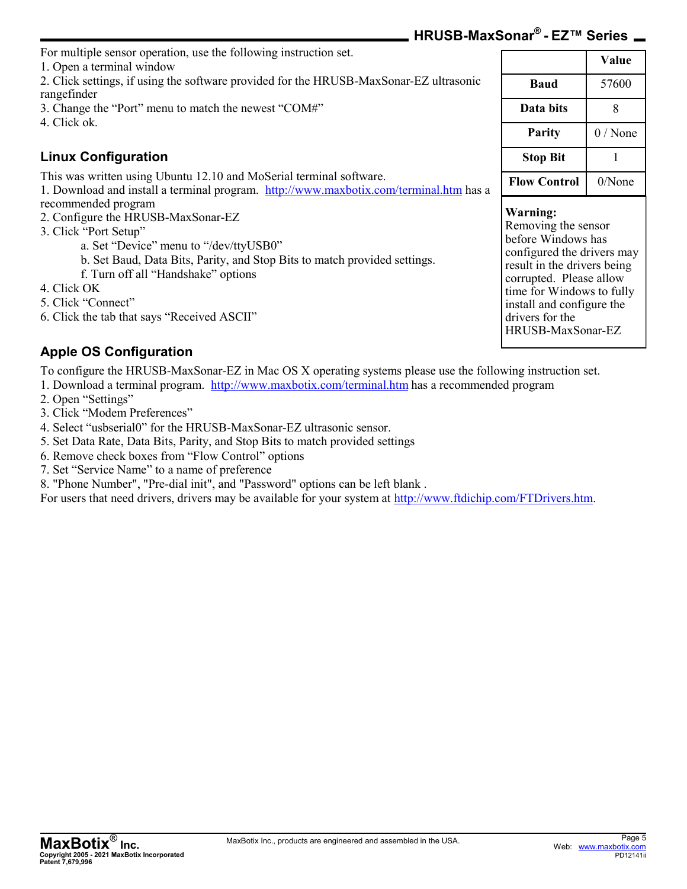| For multiple sensor operation, use the following instruction set.                                                                                             |                                                                                                           |           |
|---------------------------------------------------------------------------------------------------------------------------------------------------------------|-----------------------------------------------------------------------------------------------------------|-----------|
| 1. Open a terminal window                                                                                                                                     |                                                                                                           | Value     |
| 2. Click settings, if using the software provided for the HRUSB-MaxSonar-EZ ultrasonic<br>rangefinder                                                         | <b>Baud</b>                                                                                               | 57600     |
| 3. Change the "Port" menu to match the newest "COM#"                                                                                                          | Data bits                                                                                                 | 8         |
| 4. Click ok.                                                                                                                                                  |                                                                                                           |           |
|                                                                                                                                                               | Parity                                                                                                    | 0 / None  |
| <b>Linux Configuration</b>                                                                                                                                    | <b>Stop Bit</b>                                                                                           |           |
| This was written using Ubuntu 12.10 and MoSerial terminal software.<br>1. Download and install a terminal program. http://www.maxbotix.com/terminal.htm has a | <b>Flow Control</b>                                                                                       | $0/N$ one |
| recommended program                                                                                                                                           | Warning:                                                                                                  |           |
| 2. Configure the HRUSB-MaxSonar-EZ<br>3. Click "Port Setup"                                                                                                   | Removing the sensor                                                                                       |           |
| a. Set "Device" menu to "/dev/ttyUSB0"<br>b. Set Baud, Data Bits, Parity, and Stop Bits to match provided settings.<br>f. Turn off all "Handshake" options    | before Windows has<br>configured the drivers may<br>result in the drivers being<br>corrupted Please allow |           |

- 4. Click OK
- 5. Click "Connect"
- 6. Click the tab that says "Received ASCII"

#### **Apple OS Configuration**

To configure the HRUSB-MaxSonar-EZ in Mac OS X operating systems please use the following instruction set.

1. Download a terminal program. <http://www.maxbotix.com/terminal.htm> has a recommended program

- 2. Open "Settings"
- 3. Click "Modem Preferences"
- 4. Select "usbserial0" for the HRUSB-MaxSonar-EZ ultrasonic sensor.
- 5. Set Data Rate, Data Bits, Parity, and Stop Bits to match provided settings
- 6. Remove check boxes from "Flow Control" options
- 7. Set "Service Name" to a name of preference
- 8. "Phone Number", "Pre-dial init", and "Password" options can be left blank .

For users that need drivers, drivers may be available for your system at [http://www.ftdichip.com/FTDrivers.htm.](http://www.ftdichip.com/FTDrivers.htm)

| Baud                | 57600     |
|---------------------|-----------|
| Data bits           | 8         |
| <b>Parity</b>       | $0/$ None |
| <b>Stop Bit</b>     |           |
| <b>Flow Control</b> | $0/N$ one |
|                     |           |

configured the drivers may corrupted. Please allow time for Windows to fully install and configure the drivers for the HRUSB-MaxSonar-EZ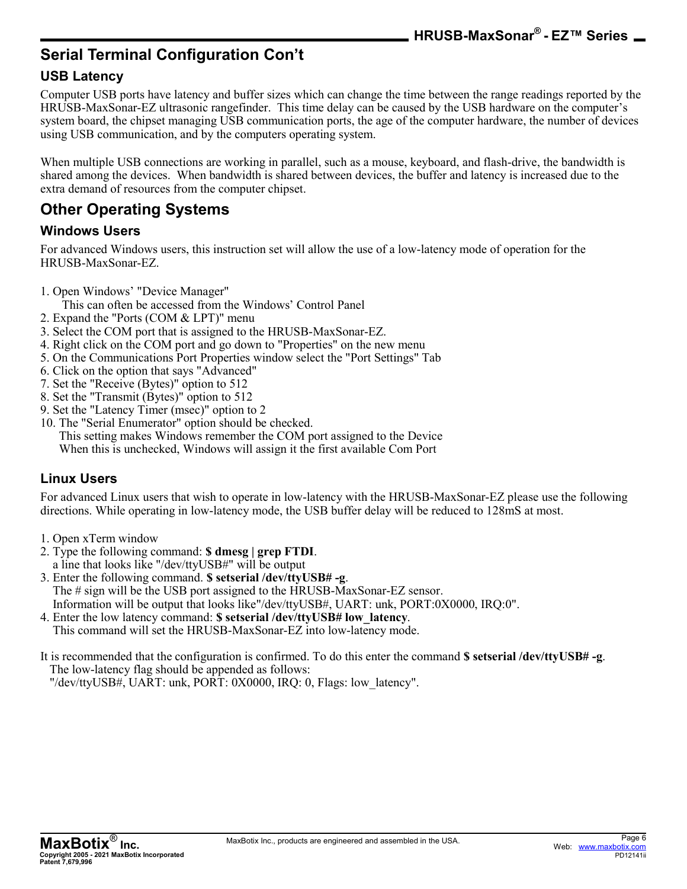**HRUSB-MaxSonar® - EZ™ Series**

# **Serial Terminal Configuration Con't**

#### **USB Latency**

Computer USB ports have latency and buffer sizes which can change the time between the range readings reported by the HRUSB-MaxSonar-EZ ultrasonic rangefinder. This time delay can be caused by the USB hardware on the computer's system board, the chipset managing USB communication ports, the age of the computer hardware, the number of devices using USB communication, and by the computers operating system.

When multiple USB connections are working in parallel, such as a mouse, keyboard, and flash-drive, the bandwidth is shared among the devices. When bandwidth is shared between devices, the buffer and latency is increased due to the extra demand of resources from the computer chipset.

# **Other Operating Systems**

#### **Windows Users**

For advanced Windows users, this instruction set will allow the use of a low-latency mode of operation for the HRUSB-MaxSonar-EZ.

- 1. Open Windows' "Device Manager"
	- This can often be accessed from the Windows' Control Panel
- 2. Expand the "Ports (COM & LPT)" menu
- 3. Select the COM port that is assigned to the HRUSB-MaxSonar-EZ.
- 4. Right click on the COM port and go down to "Properties" on the new menu
- 5. On the Communications Port Properties window select the "Port Settings" Tab
- 6. Click on the option that says "Advanced"
- 7. Set the "Receive (Bytes)" option to 512
- 8. Set the "Transmit (Bytes)" option to 512
- 9. Set the "Latency Timer (msec)" option to 2
- 10. The "Serial Enumerator" option should be checked.

This setting makes Windows remember the COM port assigned to the Device

When this is unchecked, Windows will assign it the first available Com Port

#### **Linux Users**

For advanced Linux users that wish to operate in low-latency with the HRUSB-MaxSonar-EZ please use the following directions. While operating in low-latency mode, the USB buffer delay will be reduced to 128mS at most.

- 1. Open xTerm window
- 2. Type the following command: **\$ dmesg | grep FTDI**. a line that looks like "/dev/ttyUSB#" will be output
- 3. Enter the following command. **\$ setserial /dev/ttyUSB# -g**. The # sign will be the USB port assigned to the HRUSB-MaxSonar-EZ sensor.

Information will be output that looks like"/dev/ttyUSB#, UART: unk, PORT:0X0000, IRQ:0".

4. Enter the low latency command: **\$ setserial /dev/ttyUSB# low\_latency**. This command will set the HRUSB-MaxSonar-EZ into low-latency mode.

It is recommended that the configuration is confirmed. To do this enter the command **\$ setserial /dev/ttyUSB# -g**. The low-latency flag should be appended as follows:

"/dev/ttyUSB#, UART: unk, PORT: 0X0000, IRQ: 0, Flags: low\_latency".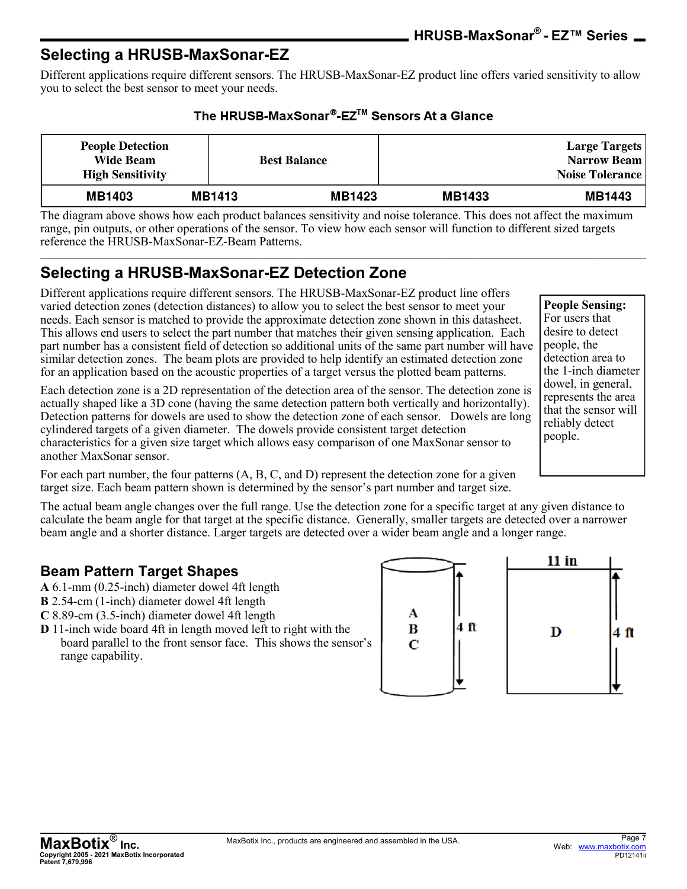### **Selecting a HRUSB-MaxSonar-EZ**

Different applications require different sensors. The HRUSB-MaxSonar-EZ product line offers varied sensitivity to allow you to select the best sensor to meet your needs.

| The HRUSB-MaxSonar®-EZ™ Sensors At a Glance |  |
|---------------------------------------------|--|
|---------------------------------------------|--|

| <b>People Detection</b><br><b>Wide Beam</b><br><b>High Sensitivity</b> |               | <b>Best Balance</b> |               | <b>Large Targets</b><br>Narrow Beam<br><b>Noise Tolerance</b> |
|------------------------------------------------------------------------|---------------|---------------------|---------------|---------------------------------------------------------------|
| <b>MB1403</b>                                                          | <b>MB1413</b> | <b>MB1423</b>       | <b>MB1433</b> | <b>MB1443</b>                                                 |

The diagram above shows how each product balances sensitivity and noise tolerance. This does not affect the maximum range, pin outputs, or other operations of the sensor. To view how each sensor will function to different sized targets reference the HRUSB-MaxSonar-EZ-Beam Patterns. **\_\_\_\_\_\_\_\_\_\_\_\_\_\_\_\_\_\_\_\_\_\_\_\_\_\_\_\_\_\_\_\_\_\_\_\_\_\_\_\_\_\_\_\_\_\_\_\_\_\_\_\_\_\_\_\_\_\_\_\_\_\_\_\_\_\_\_\_\_\_\_\_\_\_\_\_\_\_\_\_\_\_\_\_\_\_\_\_\_\_\_\_\_\_\_\_\_\_\_\_\_\_\_\_\_\_\_\_\_\_\_\_\_\_\_\_\_\_\_\_\_\_\_\_\_\_\_\_\_\_\_\_\_\_\_**

# **Selecting a HRUSB-MaxSonar-EZ Detection Zone**

Different applications require different sensors. The HRUSB-MaxSonar-EZ product line offers varied detection zones (detection distances) to allow you to select the best sensor to meet your needs. Each sensor is matched to provide the approximate detection zone shown in this datasheet. This allows end users to select the part number that matches their given sensing application. Each part number has a consistent field of detection so additional units of the same part number will have similar detection zones. The beam plots are provided to help identify an estimated detection zone for an application based on the acoustic properties of a target versus the plotted beam patterns.

Each detection zone is a 2D representation of the detection area of the sensor. The detection zone is actually shaped like a 3D cone (having the same detection pattern both vertically and horizontally). Detection patterns for dowels are used to show the detection zone of each sensor. Dowels are long cylindered targets of a given diameter. The dowels provide consistent target detection characteristics for a given size target which allows easy comparison of one MaxSonar sensor to another MaxSonar sensor.

For each part number, the four patterns (A, B, C, and D) represent the detection zone for a given target size. Each beam pattern shown is determined by the sensor's part number and target size.

The actual beam angle changes over the full range. Use the detection zone for a specific target at any given distance to calculate the beam angle for that target at the specific distance. Generally, smaller targets are detected over a narrower beam angle and a shorter distance. Larger targets are detected over a wider beam angle and a longer range.

#### **Beam Pattern Target Shapes**

- **A** 6.1-mm (0.25-inch) diameter dowel 4ft length
- **B** 2.54-cm (1-inch) diameter dowel 4ft length
- **C** 8.89-cm (3.5-inch) diameter dowel 4ft length
- **D** 11-inch wide board 4ft in length moved left to right with the board parallel to the front sensor face. This shows the sensor's range capability.



For users that desire to detect people, the detection area to the 1-inch diameter dowel, in general, represents the area that the sensor will reliably detect people.

**People Sensing:**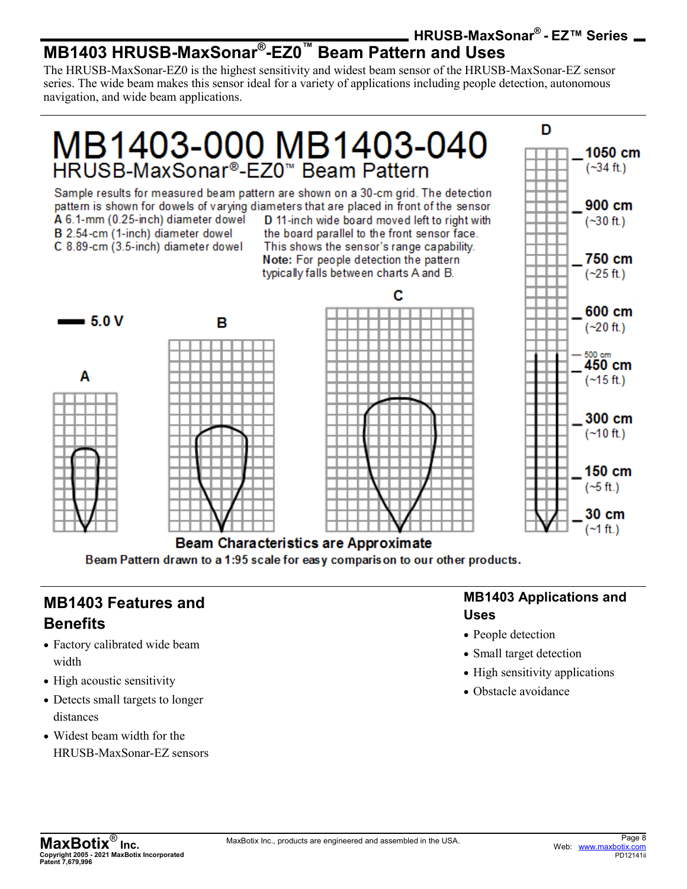#### **HRUSB-MaxSonar® - EZ™ Series MB1403 HRUSB-MaxSonar® -EZ0™ Beam Pattern and Uses**

The HRUSB-MaxSonar-EZ0 is the highest sensitivity and widest beam sensor of the HRUSB-MaxSonar-EZ sensor series. The wide beam makes this sensor ideal for a variety of applications including people detection, autonomous navigation, and wide beam applications.



**Beam Characteristics are Approximate** Beam Pattern drawn to a 1:95 scale for easy comparison to our other products.

### **MB1403 Features and Benefits**

- Factory calibrated wide beam width
- High acoustic sensitivity
- Detects small targets to longer distances
- Widest beam width for the HRUSB-MaxSonar-EZ sensors

#### **MB1403 Applications and Uses**

- People detection
- Small target detection
- High sensitivity applications
- Obstacle avoidance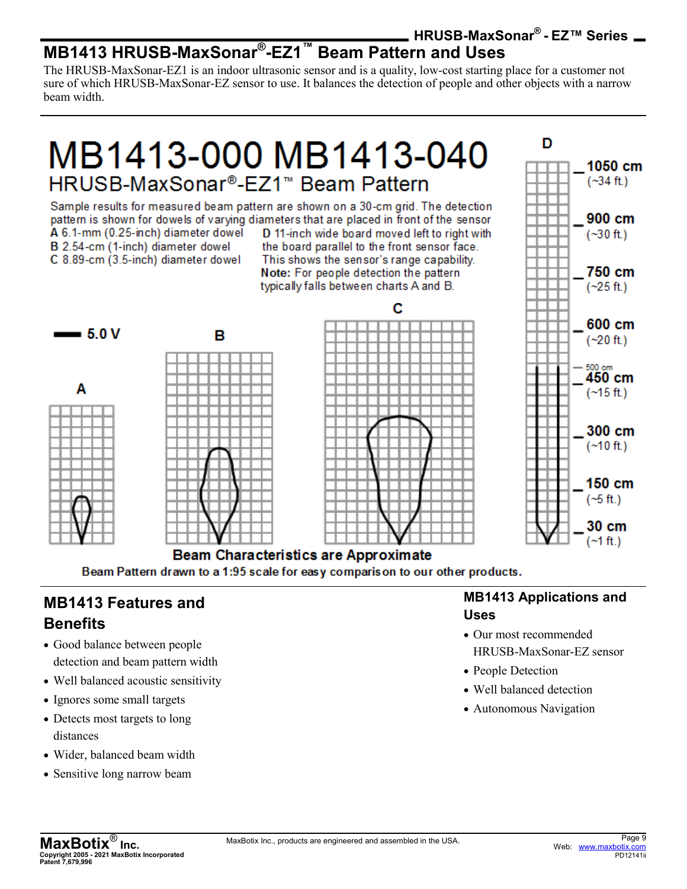#### **HRUSB-MaxSonar® - EZ™ Series MB1413 HRUSB-MaxSonar® -EZ1™ Beam Pattern and Uses**

The HRUSB-MaxSonar-EZ1 is an indoor ultrasonic sensor and is a quality, low-cost starting place for a customer not sure of which HRUSB-MaxSonar-EZ sensor to use. It balances the detection of people and other objects with a narrow beam width.

# MB1413-000 MB1413-040 HRUSB-MaxSonar®-EZ1™ Beam Pattern

Sample results for measured beam pattern are shown on a 30-cm grid. The detection pattern is shown for dowels of varying diameters that are placed in front of the sensor A 6.1-mm (0.25-inch) diameter dowel D 11-inch wide board moved left to right with

B 2.54-cm (1-inch) diameter dowel C 8.89-cm (3.5-inch) diameter dowel

the board parallel to the front sensor face. This shows the sensor's range capability. Note: For people detection the pattern typically falls between charts A and B.



Beam Pattern drawn to a 1:95 scale for easy comparison to our other products.

## **MB1413 Features and Benefits**

- Good balance between people detection and beam pattern width
- Well balanced acoustic sensitivity
- Ignores some small targets
- Detects most targets to long distances
- Wider, balanced beam width
- Sensitive long narrow beam

#### **MB1413 Applications and Uses**

D

1050 cm

 $(-34 ft.)$ 

900 cm

 $(-30 ft.)$ 

750 cm

- Our most recommended HRUSB-MaxSonar-EZ sensor
- People Detection
- Well balanced detection
- Autonomous Navigation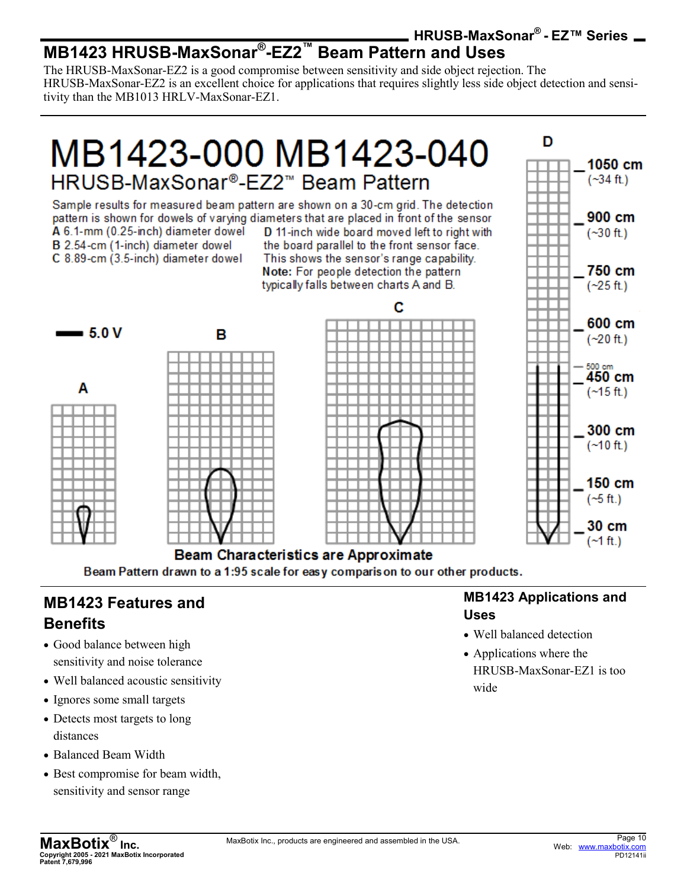#### **HRUSB-MaxSonar® - EZ™ Series MB1423 HRUSB-MaxSonar® -EZ2™ Beam Pattern and Uses**

The HRUSB-MaxSonar-EZ2 is a good compromise between sensitivity and side object rejection. The HRUSB-MaxSonar-EZ2 is an excellent choice for applications that requires slightly less side object detection and sensitivity than the MB1013 HRLV-MaxSonar-EZ1.

# MB1423-000 MB1423-040 HRUSB-MaxSonar®-FZ2™ Beam Pattern

Sample results for measured beam pattern are shown on a 30-cm grid. The detection pattern is shown for dowels of varying diameters that are placed in front of the sensor A 6.1-mm (0.25-inch) diameter dowel D 11-inch wide board moved left to right with B 2.54-cm (1-inch) diameter dowel the board parallel to the front sensor face. C 8.89-cm (3.5-inch) diameter dowel This shows the sensor's range capability.

Note: For people detection the pattern typically falls between charts A and B.



Beam Pattern drawn to a 1:95 scale for easy comparison to our other products.

# **MB1423 Features and Benefits**

- Good balance between high sensitivity and noise tolerance
- Well balanced acoustic sensitivity
- Ignores some small targets
- Detects most targets to long distances
- Balanced Beam Width
- Best compromise for beam width, sensitivity and sensor range

#### **MB1423 Applications and Uses**

D

1050 cm

 $(-34 ft.)$ 

900 cm

 $(-30 ft.)$ 

750 cm

- Well balanced detection
- Applications where the HRUSB-MaxSonar-EZ1 is too wide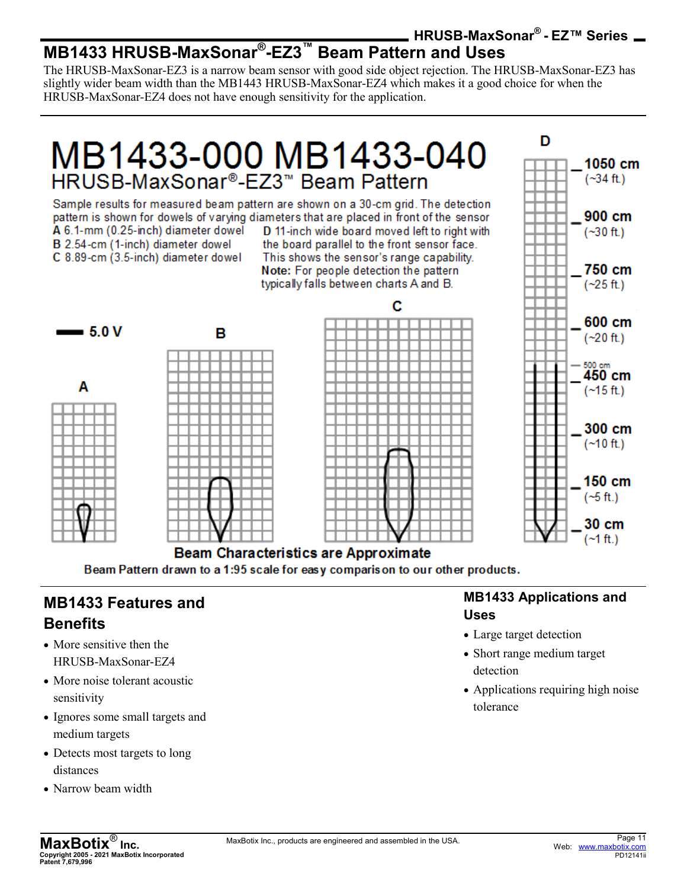#### **HRUSB-MaxSonar® - EZ™ Series MB1433 HRUSB-MaxSonar® -EZ3™ Beam Pattern and Uses**

The HRUSB-MaxSonar-EZ3 is a narrow beam sensor with good side object rejection. The HRUSB-MaxSonar-EZ3 has slightly wider beam width than the MB1443 HRUSB-MaxSonar-EZ4 which makes it a good choice for when the HRUSB-MaxSonar-EZ4 does not have enough sensitivity for the application.

# MB1433-000 MB1433-040 HRUSB-MaxSonar®-EZ3™ Beam Pattern

Sample results for measured beam pattern are shown on a 30-cm grid. The detection pattern is shown for dowels of varying diameters that are placed in front of the sensor A 6.1-mm (0.25-inch) diameter dowel D 11-inch wide board moved left to right with B 2.54-cm (1-inch) diameter dowel the board parallel to the front sensor face.

C 8.89-cm (3.5-inch) diameter dowel

This shows the sensor's range capability. Note: For people detection the pattern typically falls between charts A and B.



**Beam Characteristics are Approximate** Beam Pattern drawn to a 1:95 scale for easy comparison to our other products.

## **MB1433 Features and Benefits**

- More sensitive then the HRUSB-MaxSonar-EZ4
- More noise tolerant acoustic sensitivity
- Ignores some small targets and medium targets
- Detects most targets to long distances
- Narrow beam width

#### **MB1433 Applications and Uses**

D

1050 cm

 $(-34 ft.)$ 

900 cm

 $(-30 ft.)$ 

750 cm

- Large target detection
- Short range medium target detection
- Applications requiring high noise tolerance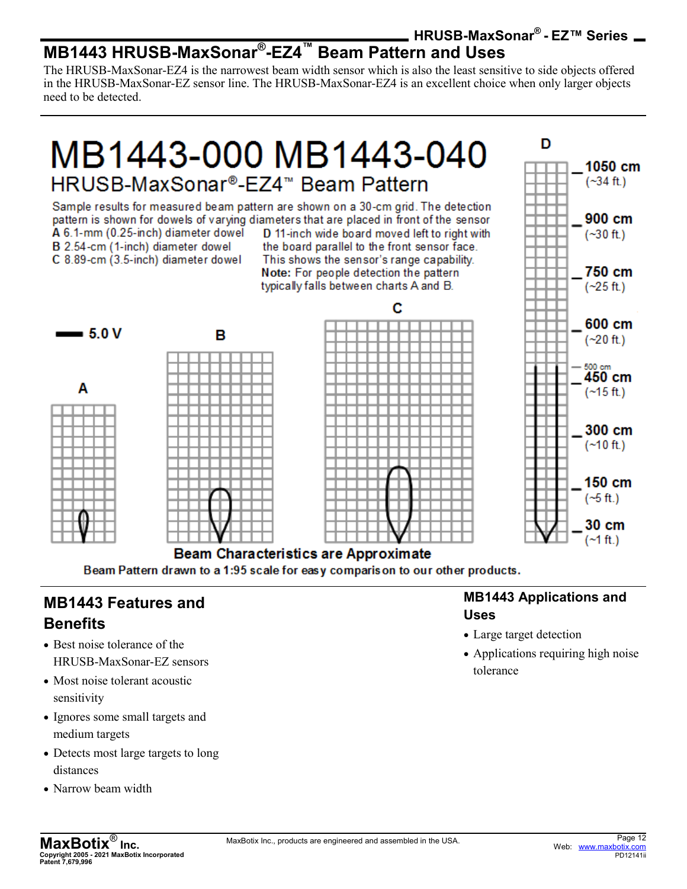#### **HRUSB-MaxSonar® - EZ™ Series MB1443 HRUSB-MaxSonar® -EZ4™ Beam Pattern and Uses**

The HRUSB-MaxSonar-EZ4 is the narrowest beam width sensor which is also the least sensitive to side objects offered in the HRUSB-MaxSonar-EZ sensor line. The HRUSB-MaxSonar-EZ4 is an excellent choice when only larger objects need to be detected.

# MB1443-000 MB1443-040 HRUSB-MaxSonar®-EZ4™ Beam Pattern

Sample results for measured beam pattern are shown on a 30-cm grid. The detection pattern is shown for dowels of varying diameters that are placed in front of the sensor A 6.1-mm (0.25-inch) diameter dowel D 11-inch wide board moved left to right with

B 2.54-cm (1-inch) diameter dowel C 8.89-cm (3.5-inch) diameter dowel

the board parallel to the front sensor face. This shows the sensor's range capability. Note: For people detection the pattern typically falls between charts A and B.



#### **Beam Characteristics are Approximate** Beam Pattern drawn to a 1:95 scale for easy comparison to our other products.

### **MB1443 Features and Benefits**

- Best noise tolerance of the HRUSB-MaxSonar-EZ sensors
- Most noise tolerant acoustic sensitivity
- Ignores some small targets and medium targets
- Detects most large targets to long distances
- Narrow beam width

#### **MB1443 Applications and Uses**

D

1050 cm

 $(-34 ft.)$ 

900 cm

 $(-30 ft.)$ 

750 cm

 $(-25 ft.)$ 

- Large target detection
- Applications requiring high noise tolerance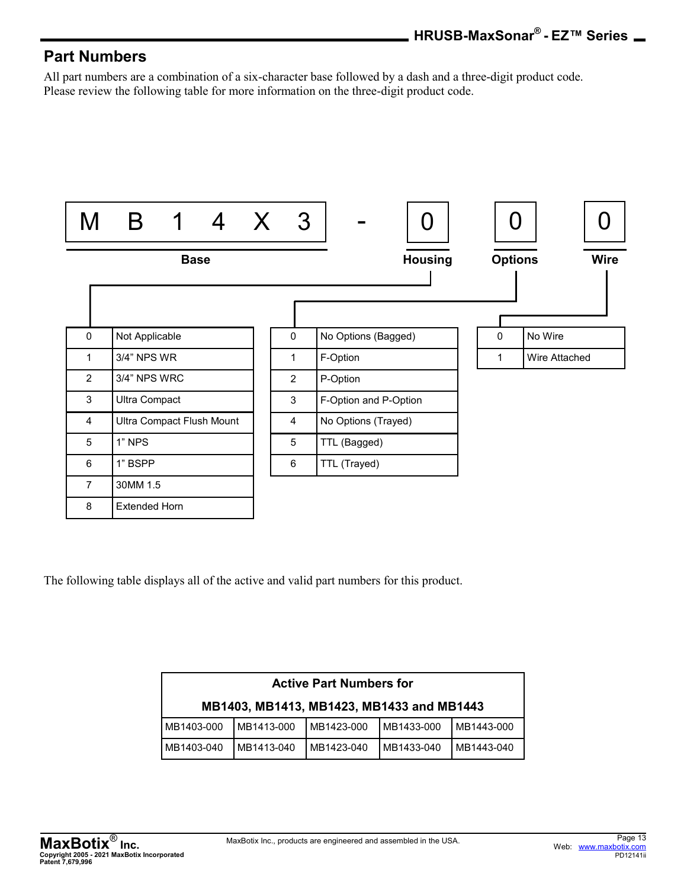#### **Part Numbers**

All part numbers are a combination of a six-character base followed by a dash and a three-digit product code. Please review the following table for more information on the three-digit product code.



The following table displays all of the active and valid part numbers for this product.

| <b>Active Part Numbers for</b>            |            |            |            |            |  |  |  |  |  |
|-------------------------------------------|------------|------------|------------|------------|--|--|--|--|--|
| MB1403, MB1413, MB1423, MB1433 and MB1443 |            |            |            |            |  |  |  |  |  |
| MB1403-000                                | MB1413-000 | MB1423-000 | MB1433-000 | MB1443-000 |  |  |  |  |  |
| MB1403-040                                | MB1413-040 | MB1423-040 | MB1433-040 | MB1443-040 |  |  |  |  |  |